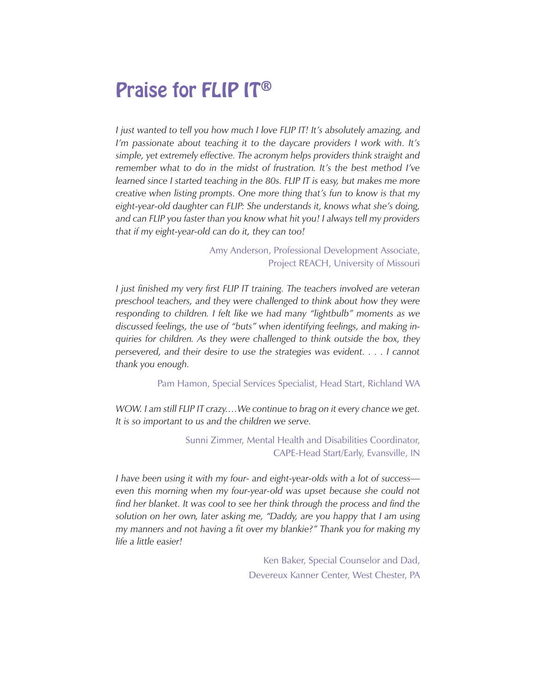### Praise for FLIP IT®

*I* just wanted to tell you how much I love FLIP IT! It's absolutely amazing, and *I'm passionate about teaching it to the daycare providers I work with. It's simple, yet extremely effective. The acronym helps providers think straight and remember what to do in the midst of frustration. It's the best method I've learned since I started teaching in the 80s. FLIP IT is easy, but makes me more creative when listing prompts. One more thing that's fun to know is that my eight-year-old daughter can FLIP: She understands it, knows what she's doing, and can FLIP you faster than you know what hit you! I always tell my providers that if my eight-year-old can do it, they can too!* 

> Amy Anderson, Professional Development Associate, Project REACH, University of Missouri

*I* just finished my very first FLIP IT training. The teachers involved are veteran *preschool teachers, and they were challenged to think about how they were responding to children. I felt like we had many "lightbulb" moments as we discussed feelings, the use of "buts" when identifying feelings, and making inquiries for children. As they were challenged to think outside the box, they persevered, and their desire to use the strategies was evident. . . . I cannot thank you enough.*

Pam Hamon, Special Services Specialist, Head Start, Richland WA

*WOW. I am still FLIP IT crazy....We continue to brag on it every chance we get. It is so important to us and the children we serve.*

> Sunni Zimmer, Mental Health and Disabilities Coordinator, CAPE-Head Start/Early, Evansville, IN

*I have been using it with my four- and eight-year-olds with a lot of success even this morning when my four-year-old was upset because she could not*  find her blanket. It was cool to see her think through the process and find the *solution on her own, later asking me, "Daddy, are you happy that I am using my manners and not having a fit over my blankie?" Thank you for making my life a little easier!*

> Ken Baker, Special Counselor and Dad, Devereux Kanner Center, West Chester, PA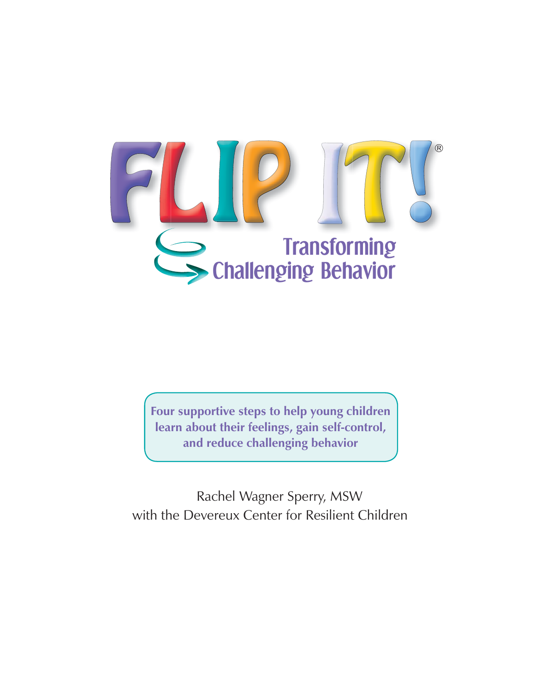

**Four supportive steps to help young children learn about their feelings, gain self-control, and reduce challenging behavior**

Rachel Wagner Sperry, MSW with the Devereux Center for Resilient Children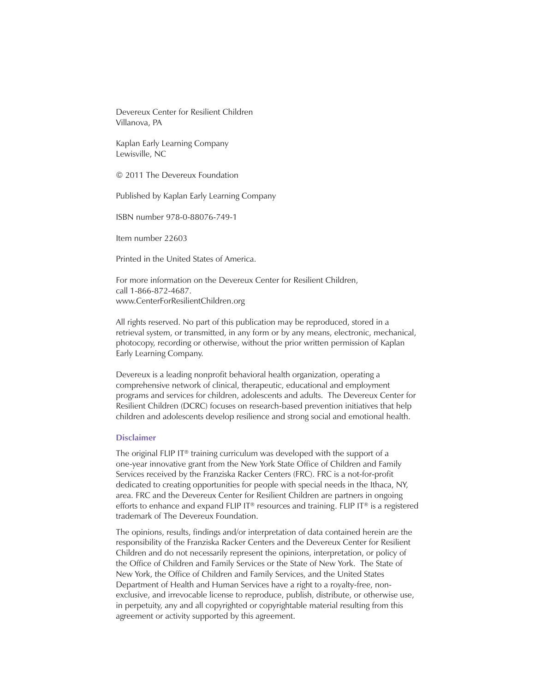Devereux Center for Resilient Children Villanova, PA

Kaplan Early Learning Company Lewisville, NC

© 2011 The Devereux Foundation

Published by Kaplan Early Learning Company

ISBN number 978-0-88076-749-1

Item number 22603

Printed in the United States of America.

For more information on the Devereux Center for Resilient Children, call 1-866-872-4687. www.CenterForResilientChildren.org

All rights reserved. No part of this publication may be reproduced, stored in a retrieval system, or transmitted, in any form or by any means, electronic, mechanical, photocopy, recording or otherwise, without the prior written permission of Kaplan Early Learning Company.

Devereux is a leading nonprofit behavioral health organization, operating a comprehensive network of clinical, therapeutic, educational and employment programs and services for children, adolescents and adults. The Devereux Center for Resilient Children (DCRC) focuses on research-based prevention initiatives that help children and adolescents develop resilience and strong social and emotional health.

#### **Disclaimer**

The original FLIP IT® training curriculum was developed with the support of a one-year innovative grant from the New York State Office of Children and Family Services received by the Franziska Racker Centers (FRC). FRC is a not-for-profit dedicated to creating opportunities for people with special needs in the Ithaca, NY, area. FRC and the Devereux Center for Resilient Children are partners in ongoing efforts to enhance and expand FLIP IT<sup>®</sup> resources and training. FLIP IT<sup>®</sup> is a registered trademark of The Devereux Foundation.

The opinions, results, findings and/or interpretation of data contained herein are the responsibility of the Franziska Racker Centers and the Devereux Center for Resilient Children and do not necessarily represent the opinions, interpretation, or policy of the Office of Children and Family Services or the State of New York. The State of New York, the Office of Children and Family Services, and the United States Department of Health and Human Services have a right to a royalty-free, nonexclusive, and irrevocable license to reproduce, publish, distribute, or otherwise use, in perpetuity, any and all copyrighted or copyrightable material resulting from this agreement or activity supported by this agreement.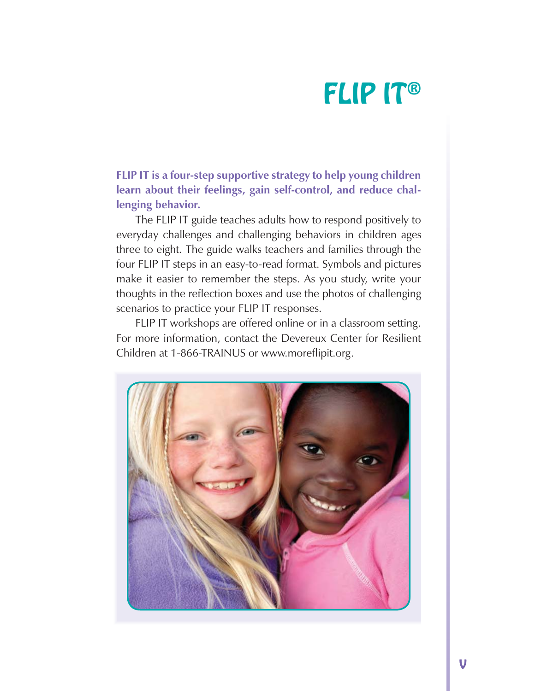**FLIP IT is a four-step supportive strategy to help young children learn about their feelings, gain self-control, and reduce challenging behavior.**

The FLIP IT guide teaches adults how to respond positively to everyday challenges and challenging behaviors in children ages three to eight. The guide walks teachers and families through the four FLIP IT steps in an easy-to-read format. Symbols and pictures make it easier to remember the steps. As you study, write your thoughts in the reflection boxes and use the photos of challenging scenarios to practice your FLIP IT responses.

FLIP IT workshops are offered online or in a classroom setting. For more information, contact the Devereux Center for Resilient Children at 1-866-TRAINUS or www.moreflipit.org.

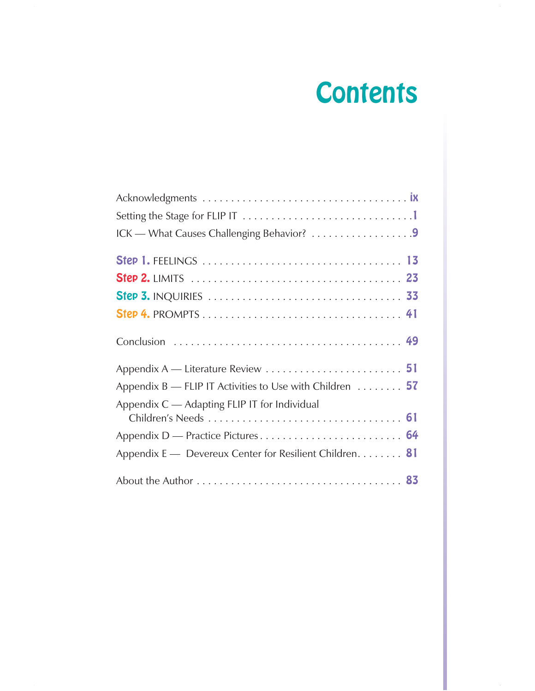## **Contents**

| ICK - What Causes Challenging Behavior? 9                             |
|-----------------------------------------------------------------------|
|                                                                       |
|                                                                       |
|                                                                       |
|                                                                       |
|                                                                       |
|                                                                       |
| Appendix B — FLIP IT Activities to Use with Children $\dots \dots$ 57 |
| Appendix C - Adapting FLIP IT for Individual                          |
|                                                                       |
|                                                                       |
| Appendix E - Devereux Center for Resilient Children. 81               |
|                                                                       |

 $\hat{\boldsymbol{\beta}}$ 

 $\bar{\mathcal{A}}$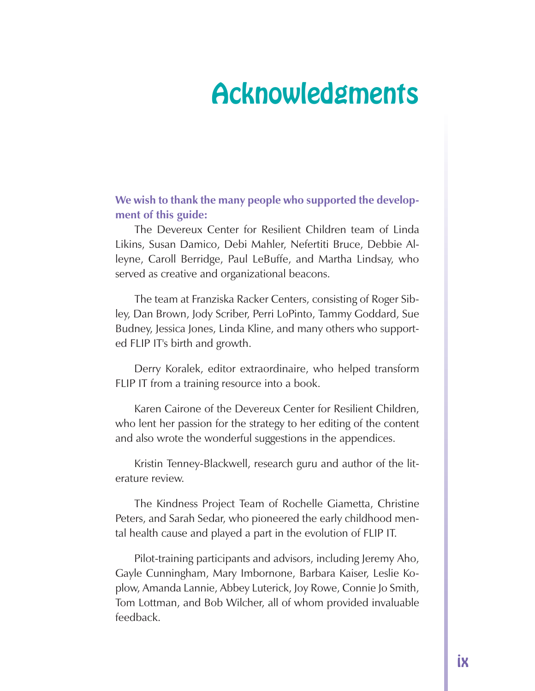### Acknowledgments

**We wish to thank the many people who supported the development of this guide:**

The Devereux Center for Resilient Children team of Linda Likins, Susan Damico, Debi Mahler, Nefertiti Bruce, Debbie Alleyne, Caroll Berridge, Paul LeBuffe, and Martha Lindsay, who served as creative and organizational beacons.

The team at Franziska Racker Centers, consisting of Roger Sibley, Dan Brown, Jody Scriber, Perri LoPinto, Tammy Goddard, Sue Budney, Jessica Jones, Linda Kline, and many others who supported FLIP IT's birth and growth.

Derry Koralek, editor extraordinaire, who helped transform FLIP IT from a training resource into a book.

Karen Cairone of the Devereux Center for Resilient Children, who lent her passion for the strategy to her editing of the content and also wrote the wonderful suggestions in the appendices.

Kristin Tenney-Blackwell, research guru and author of the literature review.

The Kindness Project Team of Rochelle Giametta, Christine Peters, and Sarah Sedar, who pioneered the early childhood mental health cause and played a part in the evolution of FLIP IT.

Pilot-training participants and advisors, including Jeremy Aho, Gayle Cunningham, Mary Imbornone, Barbara Kaiser, Leslie Koplow, Amanda Lannie, Abbey Luterick, Joy Rowe, Connie Jo Smith, Tom Lottman, and Bob Wilcher, all of whom provided invaluable feedback.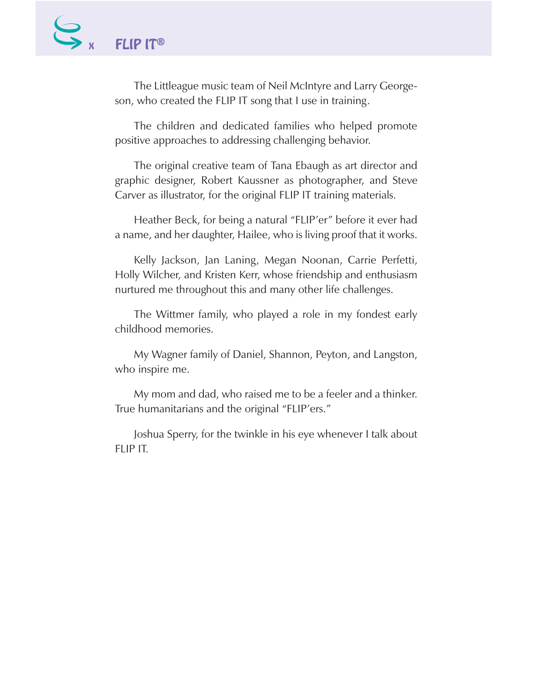The Littleague music team of Neil McIntyre and Larry Georgeson, who created the FLIP IT song that I use in training.

The children and dedicated families who helped promote positive approaches to addressing challenging behavior.

The original creative team of Tana Ebaugh as art director and graphic designer, Robert Kaussner as photographer, and Steve Carver as illustrator, for the original FLIP IT training materials.

Heather Beck, for being a natural "FLIP'er" before it ever had a name, and her daughter, Hailee, who is living proof that it works.

Kelly Jackson, Jan Laning, Megan Noonan, Carrie Perfetti, Holly Wilcher, and Kristen Kerr, whose friendship and enthusiasm nurtured me throughout this and many other life challenges.

The Wittmer family, who played a role in my fondest early childhood memories.

My Wagner family of Daniel, Shannon, Peyton, and Langston, who inspire me.

My mom and dad, who raised me to be a feeler and a thinker. True humanitarians and the original "FLIP'ers."

Joshua Sperry, for the twinkle in his eye whenever I talk about FLIP IT.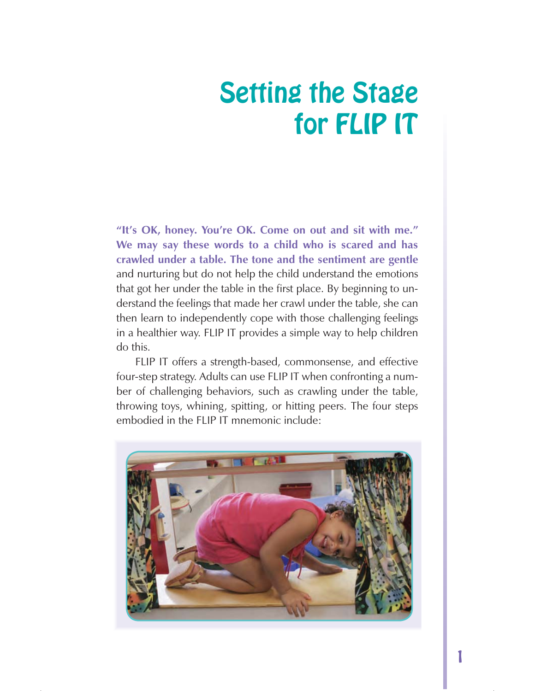### Setting the Stage for FLIP IT

**"It's OK, honey. You're OK. Come on out and sit with me." We may say these words to a child who is scared and has crawled under a table. The tone and the sentiment are gentle**  and nurturing but do not help the child understand the emotions that got her under the table in the first place. By beginning to understand the feelings that made her crawl under the table, she can then learn to independently cope with those challenging feelings in a healthier way. FLIP IT provides a simple way to help children do this.

FLIP IT offers a strength-based, commonsense, and effective four-step strategy. Adults can use FLIP IT when confronting a number of challenging behaviors, such as crawling under the table, throwing toys, whining, spitting, or hitting peers. The four steps embodied in the FLIP IT mnemonic include:

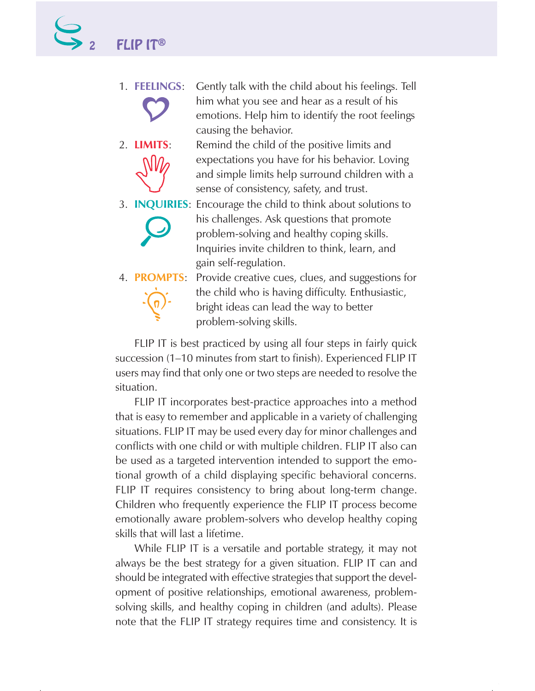- 1. **FEELINGS**: Gently talk with the child about his feelings. Tell him what you see and hear as a result of his emotions. Help him to identify the root feelings causing the behavior.
- 2. **LIMITS:** Remind the child of the positive limits and expectations you have for his behavior. Loving and simple limits help surround children with a sense of consistency, safety, and trust.
- 3. **INQUIRIES**: Encourage the child to think about solutions to his challenges. Ask questions that promote problem-solving and healthy coping skills. Inquiries invite children to think, learn, and gain self-regulation.
	-

4. **PROMPTS**: Provide creative cues, clues, and suggestions for the child who is having difficulty. Enthusiastic, bright ideas can lead the way to better problem-solving skills.

FLIP IT is best practiced by using all four steps in fairly quick succession (1–10 minutes from start to finish). Experienced FLIP IT users may find that only one or two steps are needed to resolve the situation.

FLIP IT incorporates best-practice approaches into a method that is easy to remember and applicable in a variety of challenging situations. FLIP IT may be used every day for minor challenges and conflicts with one child or with multiple children. FLIP IT also can be used as a targeted intervention intended to support the emotional growth of a child displaying specific behavioral concerns. FLIP IT requires consistency to bring about long-term change. Children who frequently experience the FLIP IT process become emotionally aware problem-solvers who develop healthy coping skills that will last a lifetime.

While FLIP IT is a versatile and portable strategy, it may not always be the best strategy for a given situation. FLIP IT can and should be integrated with effective strategies that support the development of positive relationships, emotional awareness, problemsolving skills, and healthy coping in children (and adults). Please note that the FLIP IT strategy requires time and consistency. It is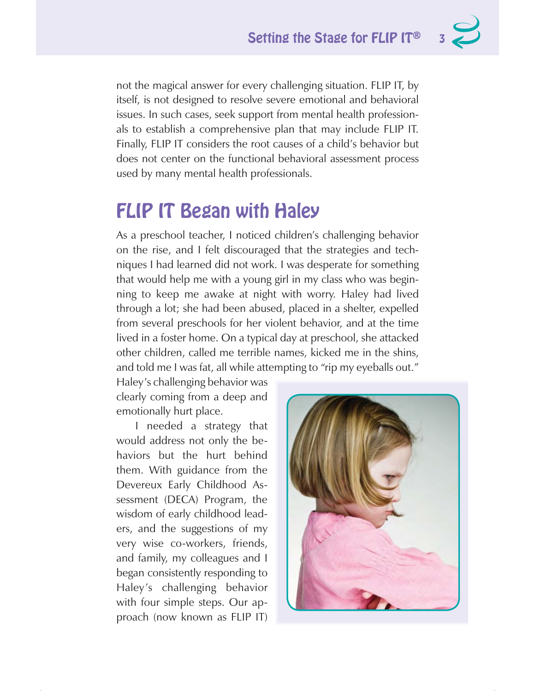not the magical answer for every challenging situation. FLIP IT, by itself, is not designed to resolve severe emotional and behavioral issues. In such cases, seek support from mental health professionals to establish a comprehensive plan that may include FLIP IT. Finally, FLIP IT considers the root causes of a child's behavior but does not center on the functional behavioral assessment process used by many mental health professionals.

#### FLIP IT Began with Haley

As a preschool teacher, I noticed children's challenging behavior on the rise, and I felt discouraged that the strategies and techniques I had learned did not work. I was desperate for something that would help me with a young girl in my class who was beginning to keep me awake at night with worry. Haley had lived through a lot; she had been abused, placed in a shelter, expelled from several preschools for her violent behavior, and at the time lived in a foster home. On a typical day at preschool, she attacked other children, called me terrible names, kicked me in the shins, and told me I was fat, all while attempting to "rip my eyeballs out."

Haley's challenging behavior was clearly coming from a deep and emotionally hurt place.

I needed a strategy that would address not only the behaviors but the hurt behind them. With guidance from the Devereux Early Childhood Assessment (DECA) Program, the wisdom of early childhood leaders, and the suggestions of my very wise co-workers, friends, and family, my colleagues and I began consistently responding to Haley's challenging behavior with four simple steps. Our approach (now known as FLIP IT)

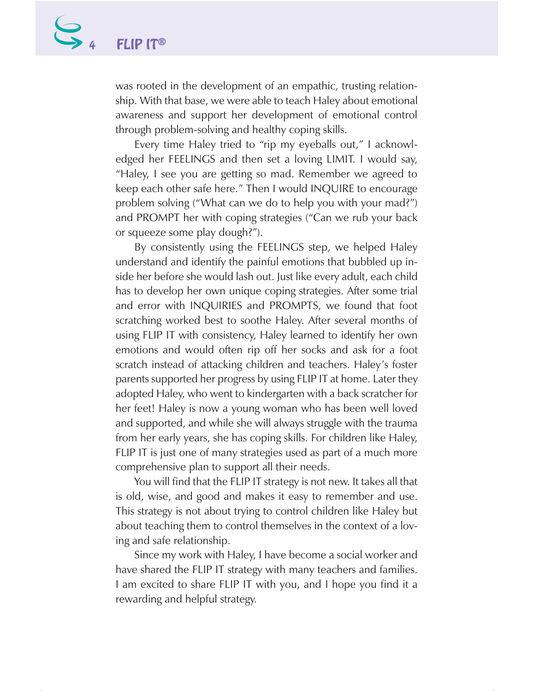was rooted in the development of an empathic, trusting relationship. With that base, we were able to teach Haley about emotional awareness and support her development of emotional control through problem-solving and healthy coping skills.

Every time Haley tried to "rip my eyeballs out," I acknowledged her FEELINGS and then set a loving LIMIT. I would say, "Haley, I see you are getting so mad. Remember we agreed to keep each other safe here." Then I would INQUIRE to encourage problem solving ("What can we do to help you with your mad?") and PROMPT her with coping strategies ("Can we rub your back or squeeze some play dough?").

By consistently using the FEELINGS step, we helped Haley understand and identify the painful emotions that bubbled up inside her before she would lash out. Just like every adult, each child has to develop her own unique coping strategies. After some trial and error with INQUIRIES and PROMPTS, we found that foot scratching worked best to soothe Haley. After several months of using FLIP IT with consistency, Haley learned to identify her own emotions and would often rip off her socks and ask for a foot scratch instead of attacking children and teachers. Haley's foster parents supported her progress by using FLIP IT at home. Later they adopted Haley, who went to kindergarten with a back scratcher for her feet! Haley is now a young woman who has been well loved and supported, and while she will always struggle with the trauma from her early years, she has coping skills. For children like Haley, FLIP IT is just one of many strategies used as part of a much more comprehensive plan to support all their needs.

You will find that the FLIP IT strategy is not new. It takes all that is old, wise, and good and makes it easy to remember and use. This strategy is not about trying to control children like Haley but about teaching them to control themselves in the context of a loving and safe relationship.

Since my work with Haley, I have become a social worker and have shared the FLIP IT strategy with many teachers and families. I am excited to share FLIP IT with you, and I hope you find it a rewarding and helpful strategy.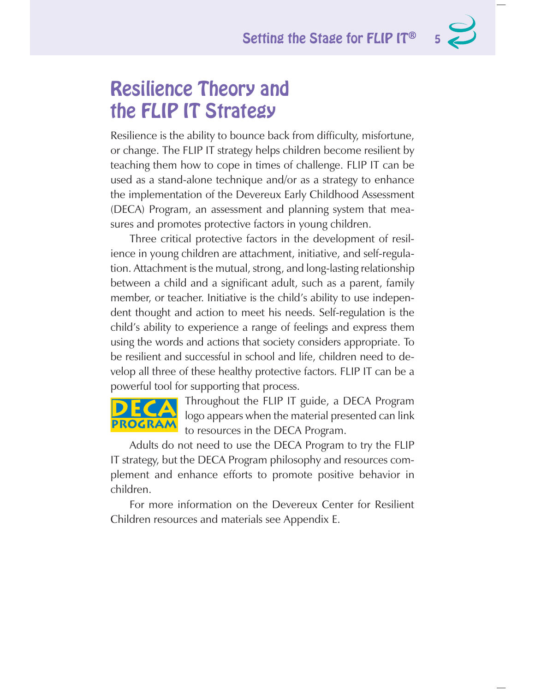### Resilience Theory and the FLIP IT Strategy

Resilience is the ability to bounce back from difficulty, misfortune, or change. The FLIP IT strategy helps children become resilient by teaching them how to cope in times of challenge. FLIP IT can be used as a stand-alone technique and/or as a strategy to enhance the implementation of the Devereux Early Childhood Assessment (DECA) Program, an assessment and planning system that measures and promotes protective factors in young children.

Three critical protective factors in the development of resilience in young children are attachment, initiative, and self-regulation. Attachment is the mutual, strong, and long-lasting relationship between a child and a significant adult, such as a parent, family member, or teacher. Initiative is the child's ability to use independent thought and action to meet his needs. Self-regulation is the child's ability to experience a range of feelings and express them using the words and actions that society considers appropriate. To be resilient and successful in school and life, children need to develop all three of these healthy protective factors. FLIP IT can be a powerful tool for supporting that process.

PROGRAM

Throughout the FLIP IT guide, a DECA Program logo appears when the material presented can link to resources in the DECA Program.

Adults do not need to use the DECA Program to try the FLIP IT strategy, but the DECA Program philosophy and resources complement and enhance efforts to promote positive behavior in children.

For more information on the Devereux Center for Resilient Children resources and materials see Appendix E.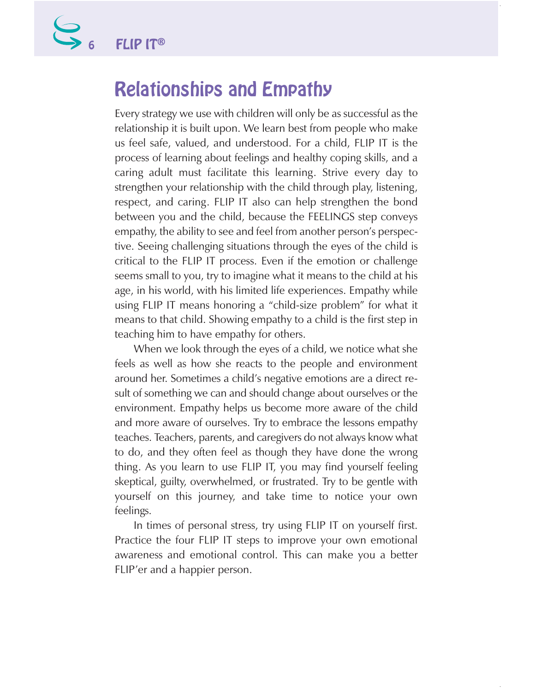### Relationships and Empathy

Every strategy we use with children will only be as successful as the relationship it is built upon. We learn best from people who make us feel safe, valued, and understood. For a child, FLIP IT is the process of learning about feelings and healthy coping skills, and a caring adult must facilitate this learning. Strive every day to strengthen your relationship with the child through play, listening, respect, and caring. FLIP IT also can help strengthen the bond between you and the child, because the FEELINGS step conveys empathy, the ability to see and feel from another person's perspective. Seeing challenging situations through the eyes of the child is critical to the FLIP IT process. Even if the emotion or challenge seems small to you, try to imagine what it means to the child at his age, in his world, with his limited life experiences. Empathy while using FLIP IT means honoring a "child-size problem" for what it means to that child. Showing empathy to a child is the first step in teaching him to have empathy for others.

When we look through the eyes of a child, we notice what she feels as well as how she reacts to the people and environment around her. Sometimes a child's negative emotions are a direct result of something we can and should change about ourselves or the environment. Empathy helps us become more aware of the child and more aware of ourselves. Try to embrace the lessons empathy teaches. Teachers, parents, and caregivers do not always know what to do, and they often feel as though they have done the wrong thing. As you learn to use FLIP IT, you may find yourself feeling skeptical, guilty, overwhelmed, or frustrated. Try to be gentle with yourself on this journey, and take time to notice your own feelings.

In times of personal stress, try using FLIP IT on yourself first. Practice the four FLIP IT steps to improve your own emotional awareness and emotional control. This can make you a better FLIP'er and a happier person.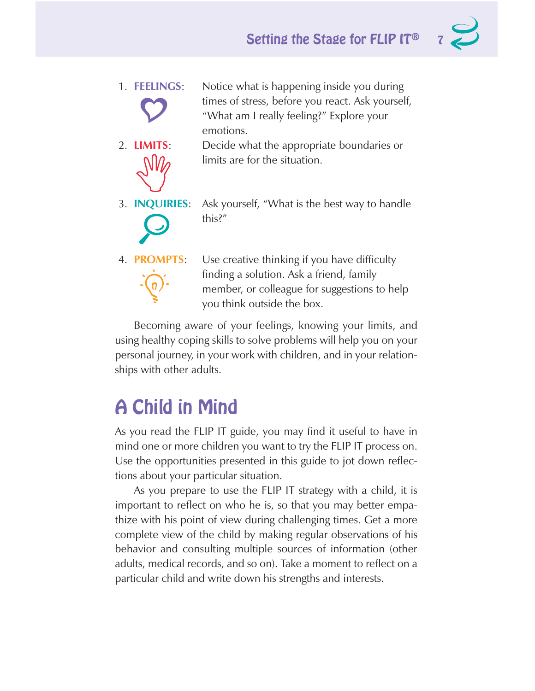1. **FEELINGS**: Notice what is happening inside you during times of stress, before you react. Ask yourself, "What am I really feeling?" Explore your emotions.



- 2. **LIMITS**: Decide what the appropriate boundaries or limits are for the situation.
- 3. **INQUIRIES**: Ask yourself, "What is the best way to handle this?"
- 

4. **PROMPTS**: Use creative thinking if you have difficulty finding a solution. Ask a friend, family member, or colleague for suggestions to help you think outside the box.

Becoming aware of your feelings, knowing your limits, and using healthy coping skills to solve problems will help you on your personal journey, in your work with children, and in your relationships with other adults.

### A Child in Mind

As you read the FLIP IT guide, you may find it useful to have in mind one or more children you want to try the FLIP IT process on. Use the opportunities presented in this guide to jot down reflections about your particular situation.

As you prepare to use the FLIP IT strategy with a child, it is important to reflect on who he is, so that you may better empathize with his point of view during challenging times. Get a more complete view of the child by making regular observations of his behavior and consulting multiple sources of information (other adults, medical records, and so on). Take a moment to reflect on a particular child and write down his strengths and interests.